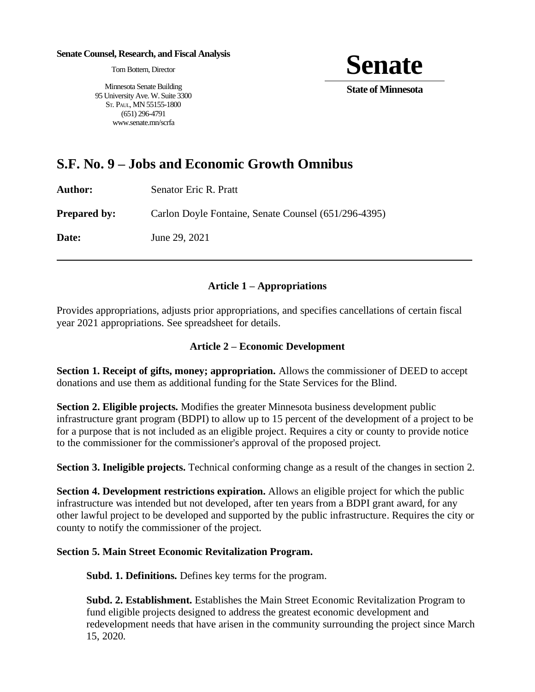#### **Senate Counsel, Research, and Fiscal Analysis**

Tom Bottern, Director

Minnesota Senate Building 95 University Ave. W. Suite 3300 ST. PAUL, MN 55155-1800 (651) 296-4791 www.senate.mn/scrfa



# **S.F. No. 9 – Jobs and Economic Growth Omnibus**

| Author:             | Senator Eric R. Pratt                                |
|---------------------|------------------------------------------------------|
| <b>Prepared by:</b> | Carlon Doyle Fontaine, Senate Counsel (651/296-4395) |
| <b>Date:</b>        | June 29, 2021                                        |
|                     |                                                      |

### **Article 1 – Appropriations**

Provides appropriations, adjusts prior appropriations, and specifies cancellations of certain fiscal year 2021 appropriations. See spreadsheet for details.

#### **Article 2 – Economic Development**

**Section 1. Receipt of gifts, money; appropriation.** Allows the commissioner of DEED to accept donations and use them as additional funding for the State Services for the Blind.

**Section 2. Eligible projects.** Modifies the greater Minnesota business development public infrastructure grant program (BDPI) to allow up to 15 percent of the development of a project to be for a purpose that is not included as an eligible project. Requires a city or county to provide notice to the commissioner for the commissioner's approval of the proposed project.

**Section 3. Ineligible projects.** Technical conforming change as a result of the changes in section 2.

**Section 4. Development restrictions expiration.** Allows an eligible project for which the public infrastructure was intended but not developed, after ten years from a BDPI grant award, for any other lawful project to be developed and supported by the public infrastructure. Requires the city or county to notify the commissioner of the project.

#### **Section 5. Main Street Economic Revitalization Program.**

**Subd. 1. Definitions.** Defines key terms for the program.

**Subd. 2. Establishment.** Establishes the Main Street Economic Revitalization Program to fund eligible projects designed to address the greatest economic development and redevelopment needs that have arisen in the community surrounding the project since March 15, 2020.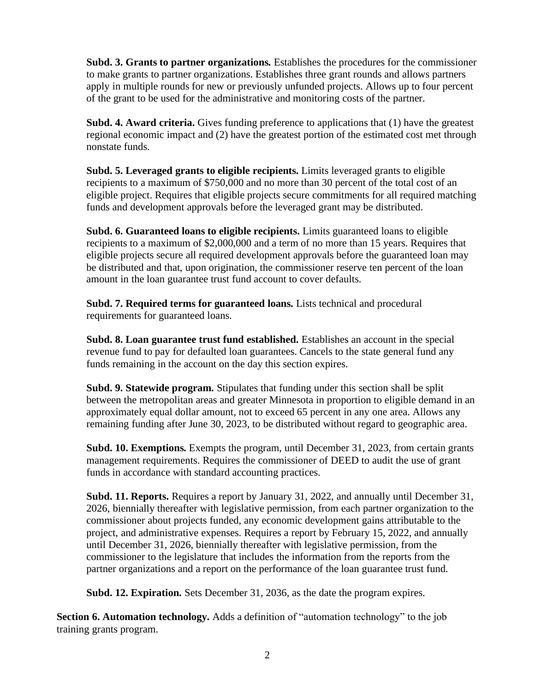**Subd. 3. Grants to partner organizations.** Establishes the procedures for the commissioner to make grants to partner organizations. Establishes three grant rounds and allows partners apply in multiple rounds for new or previously unfunded projects. Allows up to four percent of the grant to be used for the administrative and monitoring costs of the partner.

**Subd. 4. Award criteria.** Gives funding preference to applications that (1) have the greatest regional economic impact and (2) have the greatest portion of the estimated cost met through nonstate funds.

**Subd. 5. Leveraged grants to eligible recipients.** Limits leveraged grants to eligible recipients to a maximum of \$750,000 and no more than 30 percent of the total cost of an eligible project. Requires that eligible projects secure commitments for all required matching funds and development approvals before the leveraged grant may be distributed.

**Subd. 6. Guaranteed loans to eligible recipients.** Limits guaranteed loans to eligible recipients to a maximum of \$2,000,000 and a term of no more than 15 years. Requires that eligible projects secure all required development approvals before the guaranteed loan may be distributed and that, upon origination, the commissioner reserve ten percent of the loan amount in the loan guarantee trust fund account to cover defaults.

**Subd. 7. Required terms for guaranteed loans.** Lists technical and procedural requirements for guaranteed loans.

**Subd. 8. Loan guarantee trust fund established.** Establishes an account in the special revenue fund to pay for defaulted loan guarantees. Cancels to the state general fund any funds remaining in the account on the day this section expires.

**Subd. 9. Statewide program.** Stipulates that funding under this section shall be split between the metropolitan areas and greater Minnesota in proportion to eligible demand in an approximately equal dollar amount, not to exceed 65 percent in any one area. Allows any remaining funding after June 30, 2023, to be distributed without regard to geographic area.

**Subd. 10. Exemptions.** Exempts the program, until December 31, 2023, from certain grants management requirements. Requires the commissioner of DEED to audit the use of grant funds in accordance with standard accounting practices.

**Subd. 11. Reports.** Requires a report by January 31, 2022, and annually until December 31, 2026, biennially thereafter with legislative permission, from each partner organization to the commissioner about projects funded, any economic development gains attributable to the project, and administrative expenses. Requires a report by February 15, 2022, and annually until December 31, 2026, biennially thereafter with legislative permission, from the commissioner to the legislature that includes the information from the reports from the partner organizations and a report on the performance of the loan guarantee trust fund.

**Subd. 12. Expiration.** Sets December 31, 2036, as the date the program expires.

**Section 6. Automation technology.** Adds a definition of "automation technology" to the job training grants program.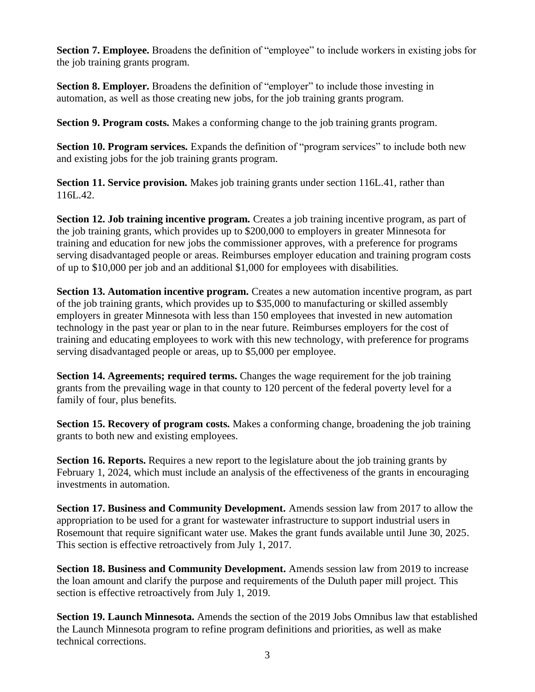**Section 7. Employee.** Broadens the definition of "employee" to include workers in existing jobs for the job training grants program.

**Section 8. Employer.** Broadens the definition of "employer" to include those investing in automation, as well as those creating new jobs, for the job training grants program.

**Section 9. Program costs.** Makes a conforming change to the job training grants program.

**Section 10. Program services.** Expands the definition of "program services" to include both new and existing jobs for the job training grants program.

**Section 11. Service provision.** Makes job training grants under section 116L.41, rather than 116L.42.

**Section 12. Job training incentive program.** Creates a job training incentive program, as part of the job training grants, which provides up to \$200,000 to employers in greater Minnesota for training and education for new jobs the commissioner approves, with a preference for programs serving disadvantaged people or areas. Reimburses employer education and training program costs of up to \$10,000 per job and an additional \$1,000 for employees with disabilities.

**Section 13. Automation incentive program.** Creates a new automation incentive program, as part of the job training grants, which provides up to \$35,000 to manufacturing or skilled assembly employers in greater Minnesota with less than 150 employees that invested in new automation technology in the past year or plan to in the near future. Reimburses employers for the cost of training and educating employees to work with this new technology, with preference for programs serving disadvantaged people or areas, up to \$5,000 per employee.

**Section 14. Agreements; required terms.** Changes the wage requirement for the job training grants from the prevailing wage in that county to 120 percent of the federal poverty level for a family of four, plus benefits.

**Section 15. Recovery of program costs.** Makes a conforming change, broadening the job training grants to both new and existing employees.

**Section 16. Reports.** Requires a new report to the legislature about the job training grants by February 1, 2024, which must include an analysis of the effectiveness of the grants in encouraging investments in automation.

**Section 17. Business and Community Development.** Amends session law from 2017 to allow the appropriation to be used for a grant for wastewater infrastructure to support industrial users in Rosemount that require significant water use. Makes the grant funds available until June 30, 2025. This section is effective retroactively from July 1, 2017.

**Section 18. Business and Community Development.** Amends session law from 2019 to increase the loan amount and clarify the purpose and requirements of the Duluth paper mill project. This section is effective retroactively from July 1, 2019.

**Section 19. Launch Minnesota.** Amends the section of the 2019 Jobs Omnibus law that established the Launch Minnesota program to refine program definitions and priorities, as well as make technical corrections.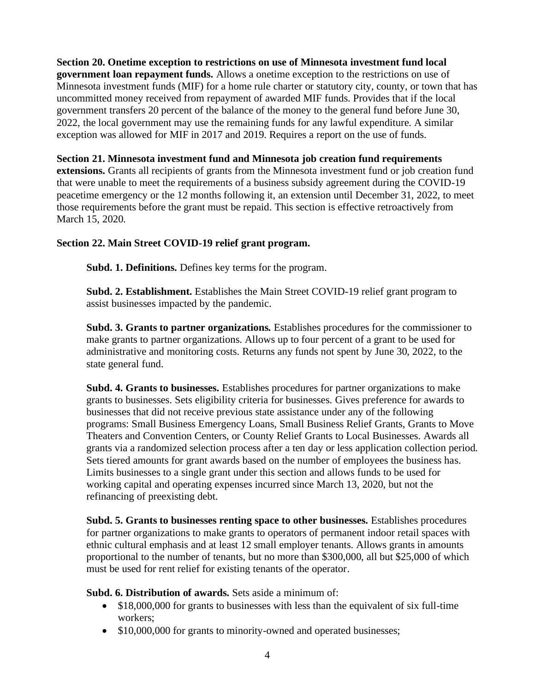**Section 20. Onetime exception to restrictions on use of Minnesota investment fund local government loan repayment funds.** Allows a onetime exception to the restrictions on use of Minnesota investment funds (MIF) for a home rule charter or statutory city, county, or town that has uncommitted money received from repayment of awarded MIF funds. Provides that if the local government transfers 20 percent of the balance of the money to the general fund before June 30, 2022, the local government may use the remaining funds for any lawful expenditure. A similar exception was allowed for MIF in 2017 and 2019. Requires a report on the use of funds.

**Section 21. Minnesota investment fund and Minnesota job creation fund requirements extensions.** Grants all recipients of grants from the Minnesota investment fund or job creation fund that were unable to meet the requirements of a business subsidy agreement during the COVID-19 peacetime emergency or the 12 months following it, an extension until December 31, 2022, to meet those requirements before the grant must be repaid. This section is effective retroactively from March 15, 2020.

## **Section 22. Main Street COVID-19 relief grant program.**

**Subd. 1. Definitions.** Defines key terms for the program.

**Subd. 2. Establishment.** Establishes the Main Street COVID-19 relief grant program to assist businesses impacted by the pandemic.

**Subd. 3. Grants to partner organizations.** Establishes procedures for the commissioner to make grants to partner organizations. Allows up to four percent of a grant to be used for administrative and monitoring costs. Returns any funds not spent by June 30, 2022, to the state general fund.

**Subd. 4. Grants to businesses.** Establishes procedures for partner organizations to make grants to businesses. Sets eligibility criteria for businesses. Gives preference for awards to businesses that did not receive previous state assistance under any of the following programs: Small Business Emergency Loans, Small Business Relief Grants, Grants to Move Theaters and Convention Centers, or County Relief Grants to Local Businesses. Awards all grants via a randomized selection process after a ten day or less application collection period. Sets tiered amounts for grant awards based on the number of employees the business has. Limits businesses to a single grant under this section and allows funds to be used for working capital and operating expenses incurred since March 13, 2020, but not the refinancing of preexisting debt.

**Subd. 5. Grants to businesses renting space to other businesses.** Establishes procedures for partner organizations to make grants to operators of permanent indoor retail spaces with ethnic cultural emphasis and at least 12 small employer tenants. Allows grants in amounts proportional to the number of tenants, but no more than \$300,000, all but \$25,000 of which must be used for rent relief for existing tenants of the operator.

**Subd. 6. Distribution of awards.** Sets aside a minimum of:

- \$18,000,000 for grants to businesses with less than the equivalent of six full-time workers;
- \$10,000,000 for grants to minority-owned and operated businesses;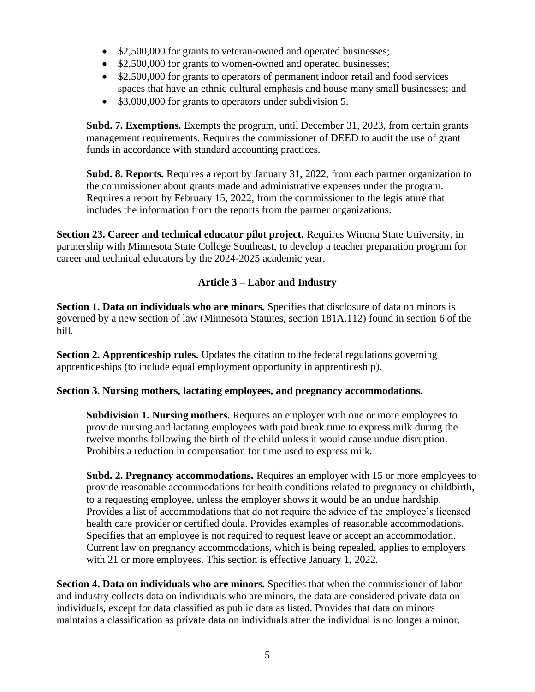- \$2,500,000 for grants to veteran-owned and operated businesses;
- \$2,500,000 for grants to women-owned and operated businesses;
- \$2,500,000 for grants to operators of permanent indoor retail and food services spaces that have an ethnic cultural emphasis and house many small businesses; and
- \$3,000,000 for grants to operators under subdivision 5.

**Subd. 7. Exemptions.** Exempts the program, until December 31, 2023, from certain grants management requirements. Requires the commissioner of DEED to audit the use of grant funds in accordance with standard accounting practices.

**Subd. 8. Reports.** Requires a report by January 31, 2022, from each partner organization to the commissioner about grants made and administrative expenses under the program. Requires a report by February 15, 2022, from the commissioner to the legislature that includes the information from the reports from the partner organizations.

**Section 23. Career and technical educator pilot project.** Requires Winona State University, in partnership with Minnesota State College Southeast, to develop a teacher preparation program for career and technical educators by the 2024-2025 academic year.

## **Article 3 – Labor and Industry**

**Section 1. Data on individuals who are minors.** Specifies that disclosure of data on minors is governed by a new section of law (Minnesota Statutes, section 181A.112) found in section 6 of the bill.

**Section 2. Apprenticeship rules.** Updates the citation to the federal regulations governing apprenticeships (to include equal employment opportunity in apprenticeship).

## **Section 3. Nursing mothers, lactating employees, and pregnancy accommodations.**

**Subdivision 1. Nursing mothers.** Requires an employer with one or more employees to provide nursing and lactating employees with paid break time to express milk during the twelve months following the birth of the child unless it would cause undue disruption. Prohibits a reduction in compensation for time used to express milk.

**Subd. 2. Pregnancy accommodations.** Requires an employer with 15 or more employees to provide reasonable accommodations for health conditions related to pregnancy or childbirth, to a requesting employee, unless the employer shows it would be an undue hardship. Provides a list of accommodations that do not require the advice of the employee's licensed health care provider or certified doula. Provides examples of reasonable accommodations. Specifies that an employee is not required to request leave or accept an accommodation. Current law on pregnancy accommodations, which is being repealed, applies to employers with 21 or more employees. This section is effective January 1, 2022.

**Section 4. Data on individuals who are minors.** Specifies that when the commissioner of labor and industry collects data on individuals who are minors, the data are considered private data on individuals, except for data classified as public data as listed. Provides that data on minors maintains a classification as private data on individuals after the individual is no longer a minor.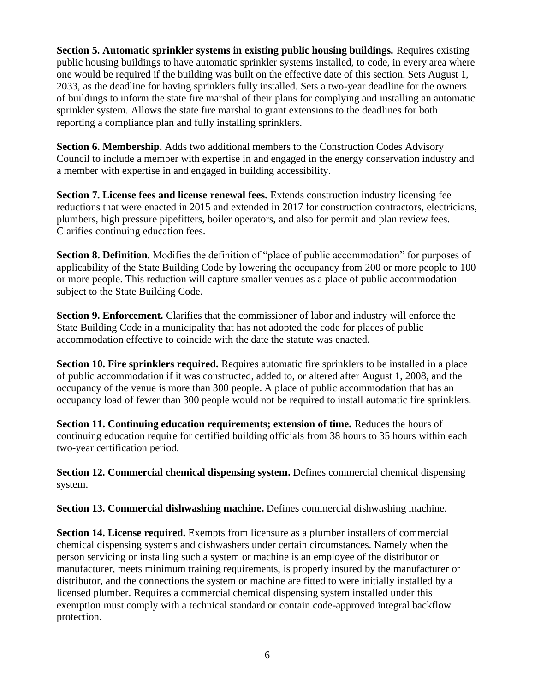**Section 5. Automatic sprinkler systems in existing public housing buildings.** Requires existing public housing buildings to have automatic sprinkler systems installed, to code, in every area where one would be required if the building was built on the effective date of this section. Sets August 1, 2033, as the deadline for having sprinklers fully installed. Sets a two-year deadline for the owners of buildings to inform the state fire marshal of their plans for complying and installing an automatic sprinkler system. Allows the state fire marshal to grant extensions to the deadlines for both reporting a compliance plan and fully installing sprinklers.

**Section 6. Membership.** Adds two additional members to the Construction Codes Advisory Council to include a member with expertise in and engaged in the energy conservation industry and a member with expertise in and engaged in building accessibility.

**Section 7. License fees and license renewal fees.** Extends construction industry licensing fee reductions that were enacted in 2015 and extended in 2017 for construction contractors, electricians, plumbers, high pressure pipefitters, boiler operators, and also for permit and plan review fees. Clarifies continuing education fees.

**Section 8. Definition.** Modifies the definition of "place of public accommodation" for purposes of applicability of the State Building Code by lowering the occupancy from 200 or more people to 100 or more people. This reduction will capture smaller venues as a place of public accommodation subject to the State Building Code.

**Section 9. Enforcement.** Clarifies that the commissioner of labor and industry will enforce the State Building Code in a municipality that has not adopted the code for places of public accommodation effective to coincide with the date the statute was enacted.

**Section 10. Fire sprinklers required.** Requires automatic fire sprinklers to be installed in a place of public accommodation if it was constructed, added to, or altered after August 1, 2008, and the occupancy of the venue is more than 300 people. A place of public accommodation that has an occupancy load of fewer than 300 people would not be required to install automatic fire sprinklers.

**Section 11. Continuing education requirements; extension of time.** Reduces the hours of continuing education require for certified building officials from 38 hours to 35 hours within each two-year certification period.

**Section 12. Commercial chemical dispensing system.** Defines commercial chemical dispensing system.

**Section 13. Commercial dishwashing machine.** Defines commercial dishwashing machine.

**Section 14. License required.** Exempts from licensure as a plumber installers of commercial chemical dispensing systems and dishwashers under certain circumstances. Namely when the person servicing or installing such a system or machine is an employee of the distributor or manufacturer, meets minimum training requirements, is properly insured by the manufacturer or distributor, and the connections the system or machine are fitted to were initially installed by a licensed plumber. Requires a commercial chemical dispensing system installed under this exemption must comply with a technical standard or contain code-approved integral backflow protection.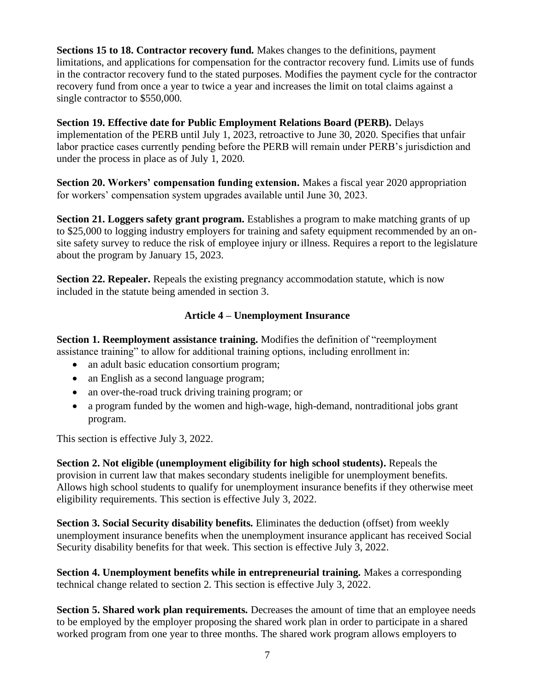**Sections 15 to 18. Contractor recovery fund.** Makes changes to the definitions, payment limitations, and applications for compensation for the contractor recovery fund. Limits use of funds in the contractor recovery fund to the stated purposes. Modifies the payment cycle for the contractor recovery fund from once a year to twice a year and increases the limit on total claims against a single contractor to \$550,000.

**Section 19. Effective date for Public Employment Relations Board (PERB).** Delays implementation of the PERB until July 1, 2023, retroactive to June 30, 2020. Specifies that unfair labor practice cases currently pending before the PERB will remain under PERB's jurisdiction and under the process in place as of July 1, 2020.

**Section 20. Workers' compensation funding extension.** Makes a fiscal year 2020 appropriation for workers' compensation system upgrades available until June 30, 2023.

**Section 21. Loggers safety grant program.** Establishes a program to make matching grants of up to \$25,000 to logging industry employers for training and safety equipment recommended by an onsite safety survey to reduce the risk of employee injury or illness. Requires a report to the legislature about the program by January 15, 2023.

**Section 22. Repealer.** Repeals the existing pregnancy accommodation statute, which is now included in the statute being amended in section 3.

## **Article 4 – Unemployment Insurance**

**Section 1. Reemployment assistance training.** Modifies the definition of "reemployment assistance training" to allow for additional training options, including enrollment in:

- an adult basic education consortium program;
- an English as a second language program;
- an over-the-road truck driving training program; or
- a program funded by the women and high-wage, high-demand, nontraditional jobs grant program.

This section is effective July 3, 2022.

**Section 2. Not eligible (unemployment eligibility for high school students).** Repeals the provision in current law that makes secondary students ineligible for unemployment benefits. Allows high school students to qualify for unemployment insurance benefits if they otherwise meet eligibility requirements. This section is effective July 3, 2022.

**Section 3. Social Security disability benefits.** Eliminates the deduction (offset) from weekly unemployment insurance benefits when the unemployment insurance applicant has received Social Security disability benefits for that week. This section is effective July 3, 2022.

**Section 4. Unemployment benefits while in entrepreneurial training.** Makes a corresponding technical change related to section 2. This section is effective July 3, 2022.

**Section 5. Shared work plan requirements.** Decreases the amount of time that an employee needs to be employed by the employer proposing the shared work plan in order to participate in a shared worked program from one year to three months. The shared work program allows employers to